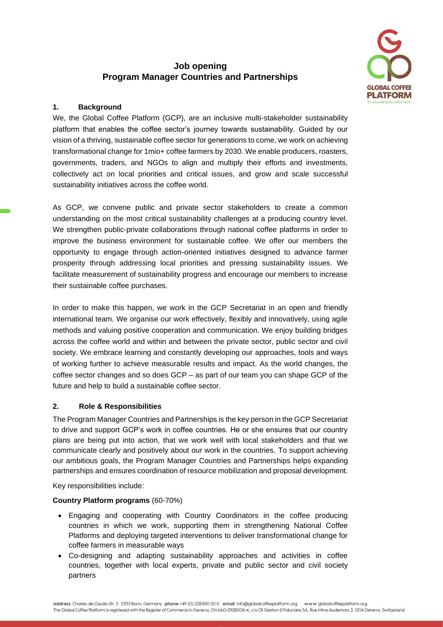# **Job opening Program Manager Countries and Partnerships**



# **1. Background**

We, the Global Coffee Platform (GCP), are an inclusive multi-stakeholder sustainability platform that enables the coffee sector's journey towards sustainability. Guided by our vision of a thriving, sustainable coffee sector for generations to come, we work on achieving transformational change for 1mio+ coffee farmers by 2030. We enable producers, roasters, governments, traders, and NGOs to align and multiply their efforts and investments, collectively act on local priorities and critical issues, and grow and scale successful sustainability initiatives across the coffee world.

As GCP, we convene public and private sector stakeholders to create a common understanding on the most critical sustainability challenges at a producing country level. We strengthen public-private collaborations through national coffee platforms in order to improve the business environment for sustainable coffee. We offer our members the opportunity to engage through action-oriented initiatives designed to advance farmer prosperity through addressing local priorities and pressing sustainability issues. We facilitate measurement of sustainability progress and encourage our members to increase their sustainable coffee purchases.

In order to make this happen, we work in the GCP Secretariat in an open and friendly international team. We organise our work effectively, flexibly and innovatively, using agile methods and valuing positive cooperation and communication. We enjoy building bridges across the coffee world and within and between the private sector, public sector and civil society. We embrace learning and constantly developing our approaches, tools and ways of working further to achieve measurable results and impact. As the world changes, the coffee sector changes and so does GCP – as part of our team you can shape GCP of the future and help to build a sustainable coffee sector.

### **2. Role & Responsibilities**

The Program Manager Countries and Partnerships is the key person in the GCP Secretariat to drive and support GCP's work in coffee countries. He or she ensures that our country plans are being put into action, that we work well with local stakeholders and that we communicate clearly and positively about our work in the countries. To support achieving our ambitious goals, the Program Manager Countries and Partnerships helps expanding partnerships and ensures coordination of resource mobilization and proposal development.

Key responsibilities include:

### **Country Platform programs** (60-70%)

- Engaging and cooperating with Country Coordinators in the coffee producing countries in which we work, supporting them in strengthening National Coffee Platforms and deploying targeted interventions to deliver transformational change for coffee farmers in measurable ways
- Co-designing and adapting sustainability approaches and activities in coffee countries, together with local experts, private and public sector and civil society partners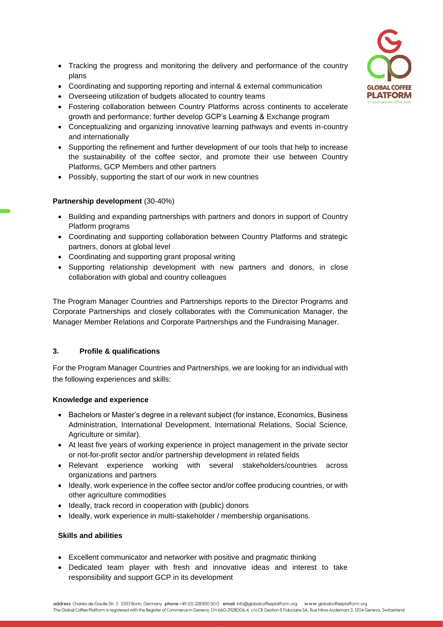

- Tracking the progress and monitoring the delivery and performance of the country plans
- Coordinating and supporting reporting and internal & external communication
- Overseeing utilization of budgets allocated to country teams
- Fostering collaboration between Country Platforms across continents to accelerate growth and performance; further develop GCP's Learning & Exchange program
- Conceptualizing and organizing innovative learning pathways and events in-country and internationally
- Supporting the refinement and further development of our tools that help to increase the sustainability of the coffee sector, and promote their use between Country Platforms, GCP Members and other partners
- Possibly, supporting the start of our work in new countries

# **Partnership development** (30-40%)

- Building and expanding partnerships with partners and donors in support of Country Platform programs
- Coordinating and supporting collaboration between Country Platforms and strategic partners, donors at global level
- Coordinating and supporting grant proposal writing
- Supporting relationship development with new partners and donors, in close collaboration with global and country colleagues

The Program Manager Countries and Partnerships reports to the Director Programs and Corporate Partnerships and closely collaborates with the Communication Manager, the Manager Member Relations and Corporate Partnerships and the Fundraising Manager.

# **3. Profile & qualifications**

For the Program Manager Countries and Partnerships, we are looking for an individual with the following experiences and skills:

### **Knowledge and experience**

- Bachelors or Master's degree in a relevant subject (for instance, Economics, Business Administration, International Development, International Relations, Social Science, Agriculture or similar).
- At least five years of working experience in project management in the private sector or not-for-profit sector and/or partnership development in related fields
- Relevant experience working with several stakeholders/countries across organizations and partners
- Ideally, work experience in the coffee sector and/or coffee producing countries, or with other agriculture commodities
- Ideally, track record in cooperation with (public) donors
- Ideally, work experience in multi-stakeholder / membership organisations.

### **Skills and abilities**

- Excellent communicator and networker with positive and pragmatic thinking
- Dedicated team player with fresh and innovative ideas and interest to take responsibility and support GCP in its development